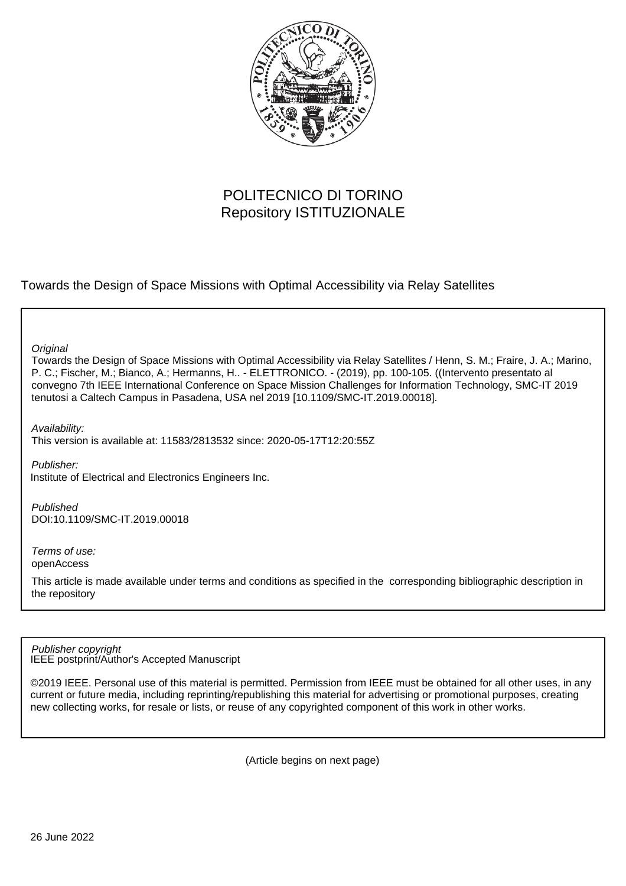

# POLITECNICO DI TORINO Repository ISTITUZIONALE

Towards the Design of Space Missions with Optimal Accessibility via Relay Satellites

**Original** 

Towards the Design of Space Missions with Optimal Accessibility via Relay Satellites / Henn, S. M.; Fraire, J. A.; Marino, P. C.; Fischer, M.; Bianco, A.; Hermanns, H.. - ELETTRONICO. - (2019), pp. 100-105. ((Intervento presentato al convegno 7th IEEE International Conference on Space Mission Challenges for Information Technology, SMC-IT 2019 tenutosi a Caltech Campus in Pasadena, USA nel 2019 [10.1109/SMC-IT.2019.00018].

Availability:

This version is available at: 11583/2813532 since: 2020-05-17T12:20:55Z

Publisher:

Institute of Electrical and Electronics Engineers Inc.

Published DOI:10.1109/SMC-IT.2019.00018

Terms of use: openAccess

This article is made available under terms and conditions as specified in the corresponding bibliographic description in the repository

IEEE postprint/Author's Accepted Manuscript Publisher copyright

©2019 IEEE. Personal use of this material is permitted. Permission from IEEE must be obtained for all other uses, in any current or future media, including reprinting/republishing this material for advertising or promotional purposes, creating new collecting works, for resale or lists, or reuse of any copyrighted component of this work in other works.

(Article begins on next page)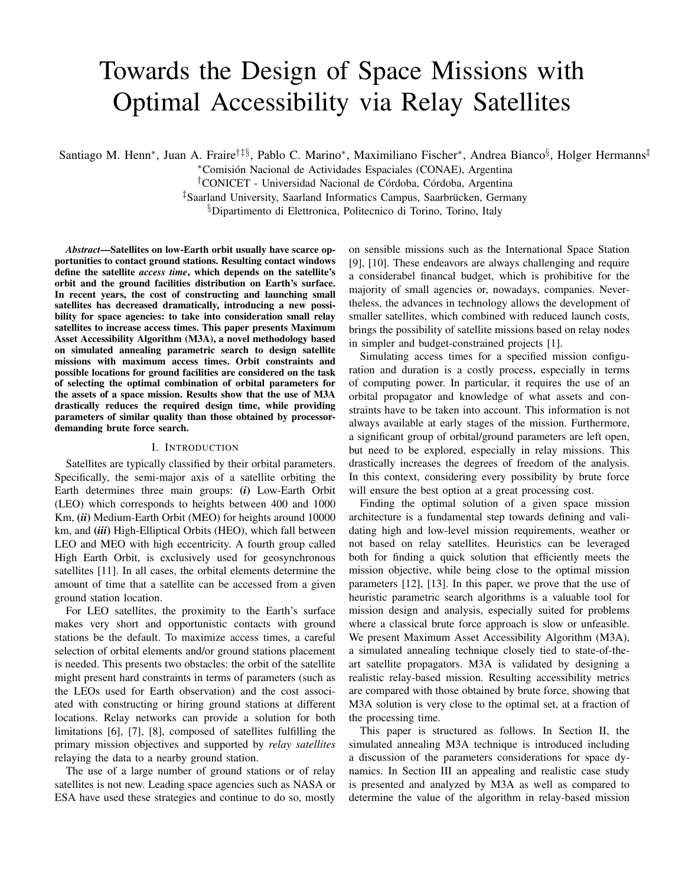# Towards the Design of Space Missions with Optimal Accessibility via Relay Satellites

Santiago M. Henn<sup>∗</sup>, Juan A. Fraire<sup>†‡§</sup>, Pablo C. Marino<sup>∗</sup>, Maximiliano Fischer<sup>∗</sup>, Andrea Bianco<sup>§</sup>, Holger Hermanns<sup>‡</sup>

<sup>∗</sup>Comision Nacional de Actividades Espaciales (CONAE), Argentina ´

<sup>†</sup>CONICET - Universidad Nacional de Córdoba, Córdoba, Argentina

<sup>‡</sup>Saarland University, Saarland Informatics Campus, Saarbrücken, Germany

§Dipartimento di Elettronica, Politecnico di Torino, Torino, Italy

*Abstract*—Satellites on low-Earth orbit usually have scarce opportunities to contact ground stations. Resulting contact windows define the satellite *access time*, which depends on the satellite's orbit and the ground facilities distribution on Earth's surface. In recent years, the cost of constructing and launching small satellites has decreased dramatically, introducing a new possibility for space agencies: to take into consideration small relay satellites to increase access times. This paper presents Maximum Asset Accessibility Algorithm (M3A), a novel methodology based on simulated annealing parametric search to design satellite missions with maximum access times. Orbit constraints and possible locations for ground facilities are considered on the task of selecting the optimal combination of orbital parameters for the assets of a space mission. Results show that the use of M3A drastically reduces the required design time, while providing parameters of similar quality than those obtained by processordemanding brute force search.

### I. INTRODUCTION

Satellites are typically classified by their orbital parameters. Specifically, the semi-major axis of a satellite orbiting the Earth determines three main groups: (*i*) Low-Earth Orbit (LEO) which corresponds to heights between 400 and 1000 Km, (*ii*) Medium-Earth Orbit (MEO) for heights around 10000 km, and (*iii*) High-Elliptical Orbits (HEO), which fall between LEO and MEO with high eccentricity. A fourth group called High Earth Orbit, is exclusively used for geosynchronous satellites [11]. In all cases, the orbital elements determine the amount of time that a satellite can be accessed from a given ground station location.

For LEO satellites, the proximity to the Earth's surface makes very short and opportunistic contacts with ground stations be the default. To maximize access times, a careful selection of orbital elements and/or ground stations placement is needed. This presents two obstacles: the orbit of the satellite might present hard constraints in terms of parameters (such as the LEOs used for Earth observation) and the cost associated with constructing or hiring ground stations at different locations. Relay networks can provide a solution for both limitations [6], [7], [8], composed of satellites fulfilling the primary mission objectives and supported by *relay satellites* relaying the data to a nearby ground station.

The use of a large number of ground stations or of relay satellites is not new. Leading space agencies such as NASA or ESA have used these strategies and continue to do so, mostly on sensible missions such as the International Space Station [9], [10]. These endeavors are always challenging and require a considerabel financal budget, which is prohibitive for the majority of small agencies or, nowadays, companies. Nevertheless, the advances in technology allows the development of smaller satellites, which combined with reduced launch costs, brings the possibility of satellite missions based on relay nodes in simpler and budget-constrained projects [1].

Simulating access times for a specified mission configuration and duration is a costly process, especially in terms of computing power. In particular, it requires the use of an orbital propagator and knowledge of what assets and constraints have to be taken into account. This information is not always available at early stages of the mission. Furthermore, a significant group of orbital/ground parameters are left open, but need to be explored, especially in relay missions. This drastically increases the degrees of freedom of the analysis. In this context, considering every possibility by brute force will ensure the best option at a great processing cost.

Finding the optimal solution of a given space mission architecture is a fundamental step towards defining and validating high and low-level mission requirements, weather or not based on relay satellites. Heuristics can be leveraged both for finding a quick solution that efficiently meets the mission objective, while being close to the optimal mission parameters [12], [13]. In this paper, we prove that the use of heuristic parametric search algorithms is a valuable tool for mission design and analysis, especially suited for problems where a classical brute force approach is slow or unfeasible. We present Maximum Asset Accessibility Algorithm (M3A), a simulated annealing technique closely tied to state-of-theart satellite propagators. M3A is validated by designing a realistic relay-based mission. Resulting accessibility metrics are compared with those obtained by brute force, showing that M3A solution is very close to the optimal set, at a fraction of the processing time.

This paper is structured as follows. In Section II, the simulated annealing M3A technique is introduced including a discussion of the parameters considerations for space dynamics. In Section III an appealing and realistic case study is presented and analyzed by M3A as well as compared to determine the value of the algorithm in relay-based mission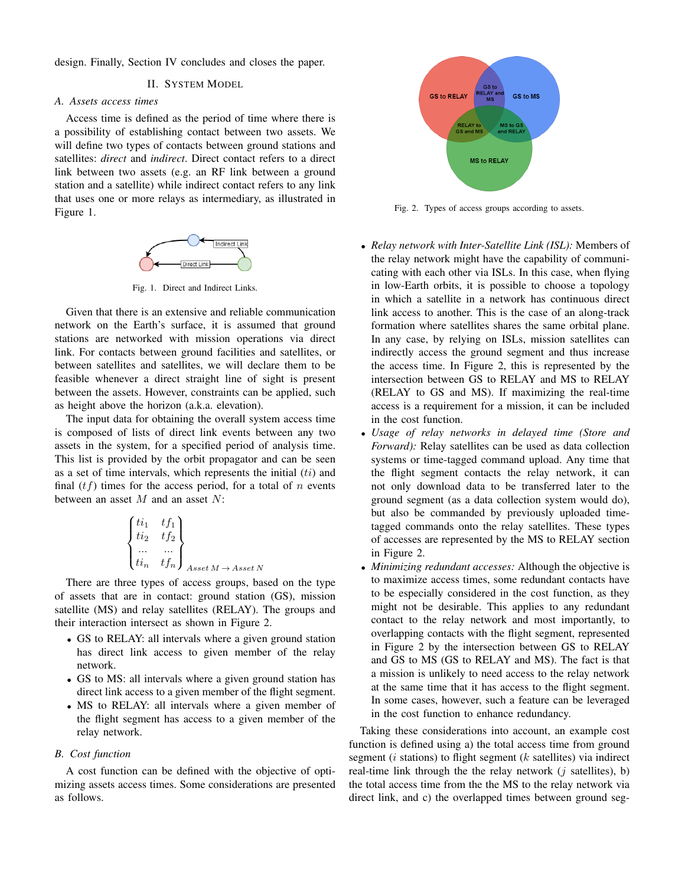design. Finally, Section IV concludes and closes the paper.

# II. SYSTEM MODEL

# *A. Assets access times*

Access time is defined as the period of time where there is a possibility of establishing contact between two assets. We will define two types of contacts between ground stations and satellites: *direct* and *indirect*. Direct contact refers to a direct link between two assets (e.g. an RF link between a ground station and a satellite) while indirect contact refers to any link that uses one or more relays as intermediary, as illustrated in Figure 1.



Fig. 1. Direct and Indirect Links.

Given that there is an extensive and reliable communication network on the Earth's surface, it is assumed that ground stations are networked with mission operations via direct link. For contacts between ground facilities and satellites, or between satellites and satellites, we will declare them to be feasible whenever a direct straight line of sight is present between the assets. However, constraints can be applied, such as height above the horizon (a.k.a. elevation).

The input data for obtaining the overall system access time is composed of lists of direct link events between any two assets in the system, for a specified period of analysis time. This list is provided by the orbit propagator and can be seen as a set of time intervals, which represents the initial  $(ti)$  and final  $(tf)$  times for the access period, for a total of n events between an asset  $M$  and an asset  $N$ :

$$
\begin{Bmatrix} ti_1 & tf_1 \\ ti_2 & tf_2 \\ \dots & \dots \\ ti_n & tf_n \end{Bmatrix}_{\text{A}\text{sset }M \to \text{A}\text{sset }N}
$$

There are three types of access groups, based on the type of assets that are in contact: ground station (GS), mission satellite (MS) and relay satellites (RELAY). The groups and their interaction intersect as shown in Figure 2.

- GS to RELAY: all intervals where a given ground station has direct link access to given member of the relay network.
- GS to MS: all intervals where a given ground station has direct link access to a given member of the flight segment.
- MS to RELAY: all intervals where a given member of the flight segment has access to a given member of the relay network.

#### *B. Cost function*

A cost function can be defined with the objective of optimizing assets access times. Some considerations are presented as follows.



Fig. 2. Types of access groups according to assets.

- *Relay network with Inter-Satellite Link (ISL):* Members of the relay network might have the capability of communicating with each other via ISLs. In this case, when flying in low-Earth orbits, it is possible to choose a topology in which a satellite in a network has continuous direct link access to another. This is the case of an along-track formation where satellites shares the same orbital plane. In any case, by relying on ISLs, mission satellites can indirectly access the ground segment and thus increase the access time. In Figure 2, this is represented by the intersection between GS to RELAY and MS to RELAY (RELAY to GS and MS). If maximizing the real-time access is a requirement for a mission, it can be included in the cost function.
- *Usage of relay networks in delayed time (Store and Forward):* Relay satellites can be used as data collection systems or time-tagged command upload. Any time that the flight segment contacts the relay network, it can not only download data to be transferred later to the ground segment (as a data collection system would do), but also be commanded by previously uploaded timetagged commands onto the relay satellites. These types of accesses are represented by the MS to RELAY section in Figure 2.
- *Minimizing redundant accesses:* Although the objective is to maximize access times, some redundant contacts have to be especially considered in the cost function, as they might not be desirable. This applies to any redundant contact to the relay network and most importantly, to overlapping contacts with the flight segment, represented in Figure 2 by the intersection between GS to RELAY and GS to MS (GS to RELAY and MS). The fact is that a mission is unlikely to need access to the relay network at the same time that it has access to the flight segment. In some cases, however, such a feature can be leveraged in the cost function to enhance redundancy.

Taking these considerations into account, an example cost function is defined using a) the total access time from ground segment ( $i$  stations) to flight segment ( $k$  satellites) via indirect real-time link through the the relay network  $(i$  satellites), b) the total access time from the the MS to the relay network via direct link, and c) the overlapped times between ground seg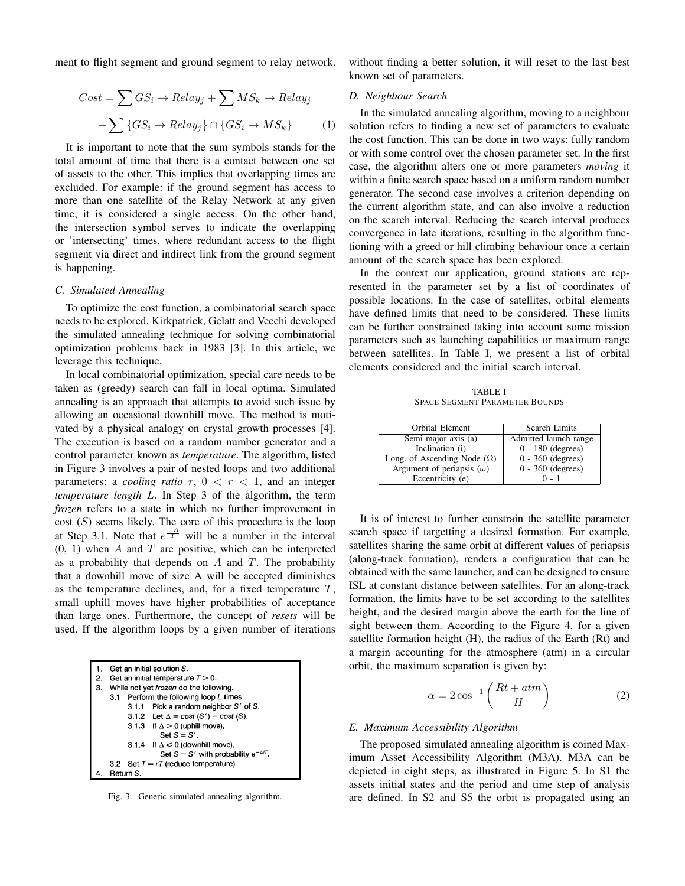ment to flight segment and ground segment to relay network.

$$
Cost = \sum GS_i \rightarrow Relay_j + \sum MS_k \rightarrow Relay_j
$$

$$
-\sum \{GS_i \rightarrow Relay_j\} \cap \{GS_i \rightarrow MS_k\} \tag{1}
$$

It is important to note that the sum symbols stands for the total amount of time that there is a contact between one set of assets to the other. This implies that overlapping times are excluded. For example: if the ground segment has access to more than one satellite of the Relay Network at any given time, it is considered a single access. On the other hand, the intersection symbol serves to indicate the overlapping or 'intersecting' times, where redundant access to the flight segment via direct and indirect link from the ground segment is happening.

# *C. Simulated Annealing*

To optimize the cost function, a combinatorial search space needs to be explored. Kirkpatrick, Gelatt and Vecchi developed the simulated annealing technique for solving combinatorial optimization problems back in 1983 [3]. In this article, we leverage this technique.

In local combinatorial optimization, special care needs to be taken as (greedy) search can fall in local optima. Simulated annealing is an approach that attempts to avoid such issue by allowing an occasional downhill move. The method is motivated by a physical analogy on crystal growth processes [4]. The execution is based on a random number generator and a control parameter known as *temperature*. The algorithm, listed in Figure 3 involves a pair of nested loops and two additional parameters: a *cooling ratio*  $r$ ,  $0 < r < 1$ , and an integer *temperature length* L. In Step 3 of the algorithm, the term *frozen* refers to a state in which no further improvement in  $cost(S)$  seems likely. The core of this procedure is the loop at Step 3.1. Note that  $e^{\frac{-A}{T}}$  will be a number in the interval  $(0, 1)$  when A and T are positive, which can be interpreted as a probability that depends on  $A$  and  $T$ . The probability that a downhill move of size A will be accepted diminishes as the temperature declines, and, for a fixed temperature  $T$ , small uphill moves have higher probabilities of acceptance than large ones. Furthermore, the concept of *resets* will be used. If the algorithm loops by a given number of iterations

| 1. | Get an initial solution S.                              |  |  |
|----|---------------------------------------------------------|--|--|
| 2. | Get an initial temperature $T > 0$ .                    |  |  |
| 3. | While not yet frozen do the following.                  |  |  |
|    | 3.1 Perform the following loop L times.                 |  |  |
|    | 3.1.1 Pick a random neighbor S' of S.                   |  |  |
|    | 3.1.2 Let $\Delta = \text{cost}(S') - \text{cost}(S)$ . |  |  |
|    | 3.1.3 If $\Delta > 0$ (uphill move),                    |  |  |
|    | Set $S = S'$ .                                          |  |  |
|    | 3.1.4 If $\Delta \le 0$ (downhill move),                |  |  |
|    | Set $S = S'$ with probability $e^{-\Delta/T}$ .         |  |  |
|    | 3.2 Set $T = rT$ (reduce temperature).                  |  |  |
|    | Return S.                                               |  |  |

Fig. 3. Generic simulated annealing algorithm.

without finding a better solution, it will reset to the last best known set of parameters.

### *D. Neighbour Search*

In the simulated annealing algorithm, moving to a neighbour solution refers to finding a new set of parameters to evaluate the cost function. This can be done in two ways: fully random or with some control over the chosen parameter set. In the first case, the algorithm alters one or more parameters *moving* it within a finite search space based on a uniform random number generator. The second case involves a criterion depending on the current algorithm state, and can also involve a reduction on the search interval. Reducing the search interval produces convergence in late iterations, resulting in the algorithm functioning with a greed or hill climbing behaviour once a certain amount of the search space has been explored.

In the context our application, ground stations are represented in the parameter set by a list of coordinates of possible locations. In the case of satellites, orbital elements have defined limits that need to be considered. These limits can be further constrained taking into account some mission parameters such as launching capabilities or maximum range between satellites. In Table I, we present a list of orbital elements considered and the initial search interval.

TABLE I SPACE SEGMENT PARAMETER BOUNDS

| Orbital Element                    | Search Limits         |
|------------------------------------|-----------------------|
| Semi-major axis (a)                | Admitted launch range |
| Inclination (i)                    | $0 - 180$ (degrees)   |
| Long. of Ascending Node $(\Omega)$ | $0 - 360$ (degrees)   |
| Argument of periapsis $(\omega)$   | $0 - 360$ (degrees)   |
| Eccentricity (e)                   |                       |

It is of interest to further constrain the satellite parameter search space if targetting a desired formation. For example, satellites sharing the same orbit at different values of periapsis (along-track formation), renders a configuration that can be obtained with the same launcher, and can be designed to ensure ISL at constant distance between satellites. For an along-track formation, the limits have to be set according to the satellites height, and the desired margin above the earth for the line of sight between them. According to the Figure 4, for a given satellite formation height (H), the radius of the Earth (Rt) and a margin accounting for the atmosphere (atm) in a circular orbit, the maximum separation is given by:

$$
\alpha = 2\cos^{-1}\left(\frac{Rt + atm}{H}\right) \tag{2}
$$

# *E. Maximum Accessibility Algorithm*

The proposed simulated annealing algorithm is coined Maximum Asset Accessibility Algorithm (M3A). M3A can be depicted in eight steps, as illustrated in Figure 5. In S1 the assets initial states and the period and time step of analysis are defined. In S2 and S5 the orbit is propagated using an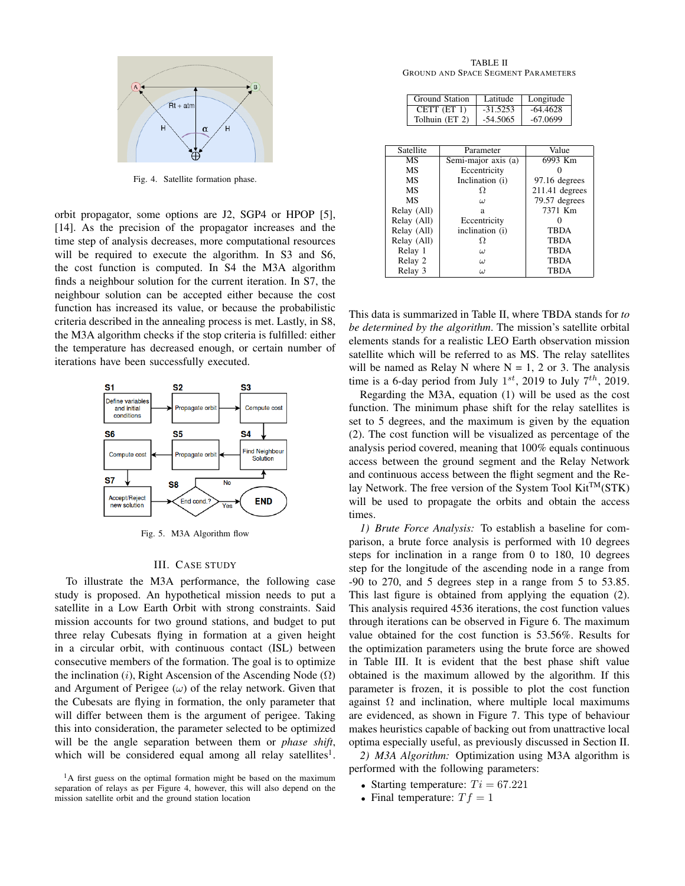

Fig. 4. Satellite formation phase.

orbit propagator, some options are J2, SGP4 or HPOP [5], [14]. As the precision of the propagator increases and the time step of analysis decreases, more computational resources will be required to execute the algorithm. In S3 and S6, the cost function is computed. In S4 the M3A algorithm finds a neighbour solution for the current iteration. In S7, the neighbour solution can be accepted either because the cost function has increased its value, or because the probabilistic criteria described in the annealing process is met. Lastly, in S8, the M3A algorithm checks if the stop criteria is fulfilled: either the temperature has decreased enough, or certain number of iterations have been successfully executed.



Fig. 5. M3A Algorithm flow

#### III. CASE STUDY

To illustrate the M3A performance, the following case study is proposed. An hypothetical mission needs to put a satellite in a Low Earth Orbit with strong constraints. Said mission accounts for two ground stations, and budget to put three relay Cubesats flying in formation at a given height in a circular orbit, with continuous contact (ISL) between consecutive members of the formation. The goal is to optimize the inclination (i), Right Ascension of the Ascending Node  $(Ω)$ and Argument of Perigee  $(\omega)$  of the relay network. Given that the Cubesats are flying in formation, the only parameter that will differ between them is the argument of perigee. Taking this into consideration, the parameter selected to be optimized will be the angle separation between them or *phase shift*, which will be considered equal among all relay satellites<sup>1</sup>.

TABLE II GROUND AND SPACE SEGMENT PARAMETERS

| Ground Station |                | Latitude            | Longitude        |  |
|----------------|----------------|---------------------|------------------|--|
| CETT $(ET 1)$  |                | $-31.5253$          | -64.4628         |  |
|                | Tolhuin (ET 2) | $-54.5065$          | $-67.0699$       |  |
|                |                |                     |                  |  |
| Satellite      |                | Parameter           | Value            |  |
| MS             |                | Semi-major axis (a) | 6993 Km          |  |
| MS             |                | Eccentricity        |                  |  |
| MS             |                | Inclination (i)     | 97.16 degrees    |  |
| MS             |                | Ω                   | $211.41$ degrees |  |
| МS             | $\omega$       |                     | 79.57 degrees    |  |
| Relay (All)    |                | a                   | 7371 Km          |  |
| Relay (All)    |                | Eccentricity        |                  |  |
| Relay (All)    |                | inclination (i)     | TBDA             |  |
| Relay (All)    |                | Ω                   | TBDA             |  |
| Relay 1        | $\omega$       |                     | TBDA             |  |
| Relay 2        |                | $\omega$            | TBDA             |  |
| Relay 3        |                | $\omega$            | TBDA             |  |

This data is summarized in Table II, where TBDA stands for *to be determined by the algorithm*. The mission's satellite orbital elements stands for a realistic LEO Earth observation mission satellite which will be referred to as MS. The relay satellites will be named as Relay N where  $N = 1, 2$  or 3. The analysis time is a 6-day period from July  $1^{st}$ , 2019 to July  $7^{th}$ , 2019.

Regarding the M3A, equation (1) will be used as the cost function. The minimum phase shift for the relay satellites is set to 5 degrees, and the maximum is given by the equation (2). The cost function will be visualized as percentage of the analysis period covered, meaning that 100% equals continuous access between the ground segment and the Relay Network and continuous access between the flight segment and the Relay Network. The free version of the System Tool Kit<sup>TM</sup>(STK) will be used to propagate the orbits and obtain the access times.

*1) Brute Force Analysis:* To establish a baseline for comparison, a brute force analysis is performed with 10 degrees steps for inclination in a range from 0 to 180, 10 degrees step for the longitude of the ascending node in a range from -90 to 270, and 5 degrees step in a range from 5 to 53.85. This last figure is obtained from applying the equation (2). This analysis required 4536 iterations, the cost function values through iterations can be observed in Figure 6. The maximum value obtained for the cost function is 53.56%. Results for the optimization parameters using the brute force are showed in Table III. It is evident that the best phase shift value obtained is the maximum allowed by the algorithm. If this parameter is frozen, it is possible to plot the cost function against  $\Omega$  and inclination, where multiple local maximums are evidenced, as shown in Figure 7. This type of behaviour makes heuristics capable of backing out from unattractive local optima especially useful, as previously discussed in Section II.

*2) M3A Algorithm:* Optimization using M3A algorithm is performed with the following parameters:

- Starting temperature:  $Ti = 67.221$
- Final temperature:  $T f = 1$

 ${}^{1}$ A first guess on the optimal formation might be based on the maximum separation of relays as per Figure 4, however, this will also depend on the mission satellite orbit and the ground station location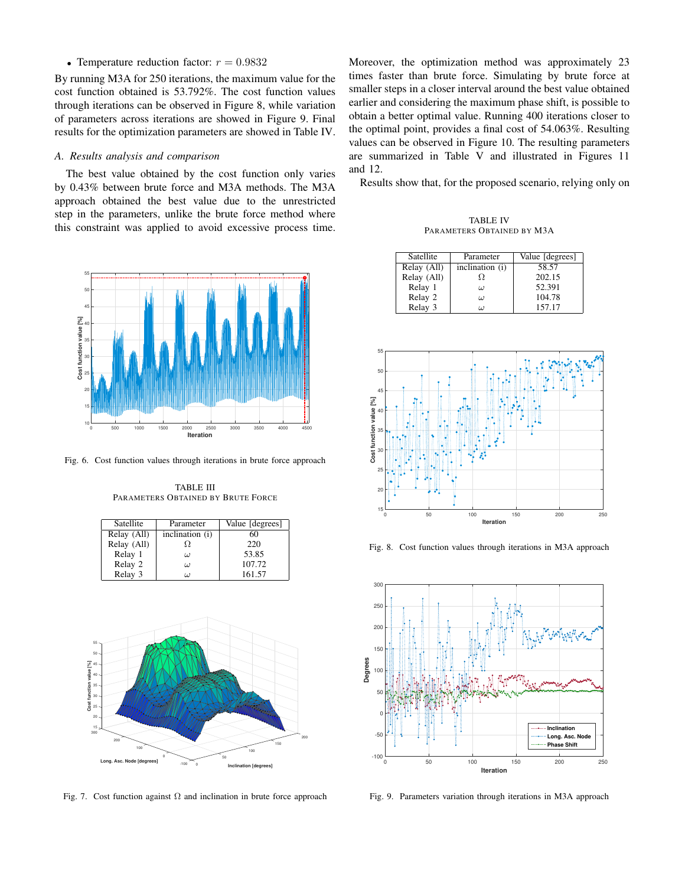# • Temperature reduction factor:  $r = 0.9832$

By running M3A for 250 iterations, the maximum value for the cost function obtained is 53.792%. The cost function values through iterations can be observed in Figure 8, while variation of parameters across iterations are showed in Figure 9. Final results for the optimization parameters are showed in Table IV.

#### *A. Results analysis and comparison*

The best value obtained by the cost function only varies by 0.43% between brute force and M3A methods. The M3A approach obtained the best value due to the unrestricted step in the parameters, unlike the brute force method where this constraint was applied to avoid excessive process time.



Fig. 6. Cost function values through iterations in brute force approach

TABLE III PARAMETERS OBTAINED BY BRUTE FORCE

| Satellite   | Parameter       | Value [degrees] |
|-------------|-----------------|-----------------|
| Relay (All) | inclination (i) | 60              |
| Relay (All) |                 | 220             |
| Relay 1     | ω               | 53.85           |
| Relay 2     | ω               | 107.72          |
| Relay 3     | $\iota$         | 161.57          |



Fig. 7. Cost function against  $\Omega$  and inclination in brute force approach

Moreover, the optimization method was approximately 23 times faster than brute force. Simulating by brute force at smaller steps in a closer interval around the best value obtained earlier and considering the maximum phase shift, is possible to obtain a better optimal value. Running 400 iterations closer to the optimal point, provides a final cost of 54.063%. Resulting values can be observed in Figure 10. The resulting parameters are summarized in Table V and illustrated in Figures 11 and 12.

Results show that, for the proposed scenario, relying only on

TABLE IV PARAMETERS OBTAINED BY M3A

| Satellite   | Parameter       | Value [degrees] |
|-------------|-----------------|-----------------|
| Relay (All) | inclination (i) | 58.57           |
| Relay (All) |                 | 202.15          |
| Relay 1     | ω               | 52.391          |
| Relay 2     | ω               | 104.78          |
| Relay 3     | $\iota$         | 157.17          |



Fig. 8. Cost function values through iterations in M3A approach



Fig. 9. Parameters variation through iterations in M3A approach